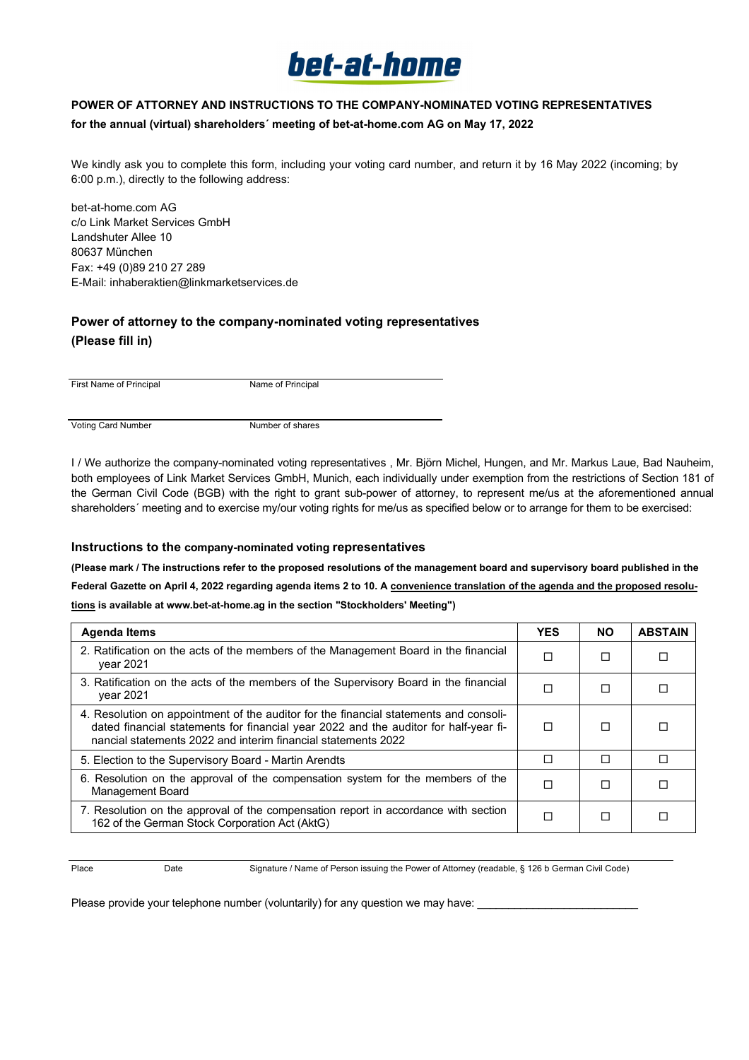

## **POWER OF ATTORNEY AND INSTRUCTIONS TO THE COMPANY-NOMINATED VOTING REPRESENTATIVES**

### **for the annual (virtual) shareholders´ meeting of bet-at-home.com AG on May 17, 2022**

We kindly ask you to complete this form, including your voting card number, and return it by 16 May 2022 (incoming; by 6:00 p.m.), directly to the following address:

bet-at-home.com AG c/o Link Market Services GmbH Landshuter Allee 10 80637 München Fax: +49 (0)89 210 27 289 E-Mail: inhaberaktien@linkmarketservices.de

## **Power of attorney to the company-nominated voting representatives (Please fill in)**

First Name of Principal Name of Principal

Voting Card Number Number Number of shares

I / We authorize the company-nominated voting representatives , Mr. Björn Michel, Hungen, and Mr. Markus Laue, Bad Nauheim, both employees of Link Market Services GmbH, Munich, each individually under exemption from the restrictions of Section 181 of the German Civil Code (BGB) with the right to grant sub-power of attorney, to represent me/us at the aforementioned annual shareholders' meeting and to exercise my/our voting rights for me/us as specified below or to arrange for them to be exercised:

## **Instructions to the company-nominated voting representatives**

**(Please mark / The instructions refer to the proposed resolutions of the management board and supervisory board published in the Federal Gazette on April 4, 2022 regarding agenda items 2 to 10. A convenience translation of the agenda and the proposed resolutions is available at www.bet-at-home.ag in the section "Stockholders' Meeting")** 

| <b>Agenda Items</b>                                                                                                                                                                                                                            | <b>YES</b> | <b>NO</b> | <b>ABSTAIN</b> |
|------------------------------------------------------------------------------------------------------------------------------------------------------------------------------------------------------------------------------------------------|------------|-----------|----------------|
| 2. Ratification on the acts of the members of the Management Board in the financial<br>vear 2021                                                                                                                                               |            | П         | П              |
| 3. Ratification on the acts of the members of the Supervisory Board in the financial<br>vear 2021                                                                                                                                              | П          | П         |                |
| 4. Resolution on appointment of the auditor for the financial statements and consoli-<br>dated financial statements for financial year 2022 and the auditor for half-year fi-<br>nancial statements 2022 and interim financial statements 2022 |            | П         | П              |
| 5. Election to the Supervisory Board - Martin Arendts                                                                                                                                                                                          | П          | П         | П              |
| 6. Resolution on the approval of the compensation system for the members of the<br><b>Management Board</b>                                                                                                                                     |            | П         | П              |
| 7. Resolution on the approval of the compensation report in accordance with section<br>162 of the German Stock Corporation Act (AktG)                                                                                                          | П          | П         |                |

Place Date Signature / Name of Person issuing the Power of Attorney (readable, § 126 b German Civil Code)

Please provide your telephone number (voluntarily) for any question we may have: